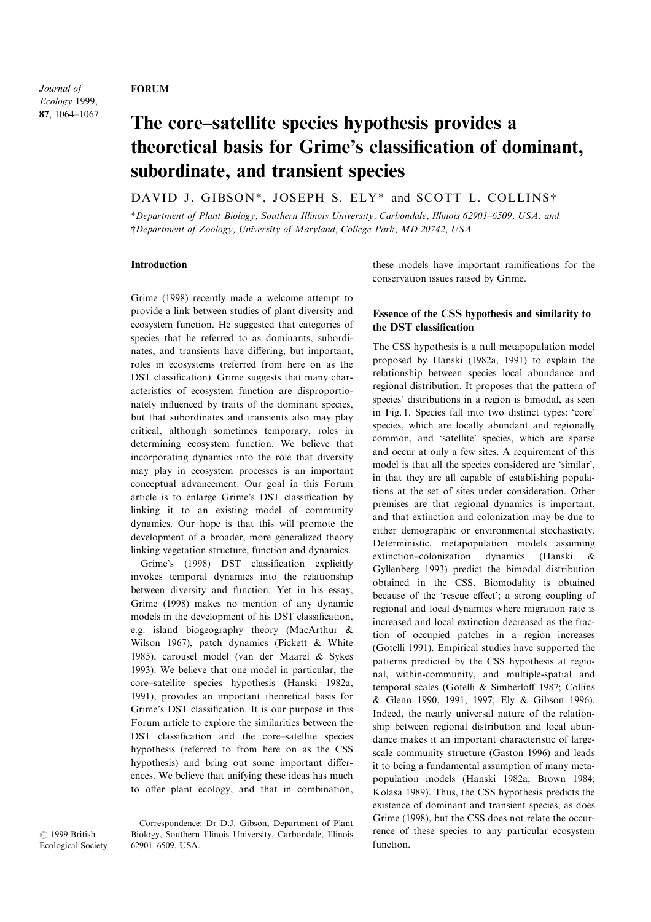### FORUM

Journal of Ecology 1999, 87, 1064-1067

# The core-satellite species hypothesis provides a theoretical basis for Grime's classification of dominant, subordinate, and transient species

DAVID J. GIBSON\*, JOSEPH S. ELY\* and SCOTT L. COLLINS<sup>†</sup>

\*Department of Plant Biology, Southern Illinois University, Carbondale, Illinois 62901±6509, USA; and {Department of Zoology, University of Maryland, College Park, MD 20742, USA

#### Introduction

Grime (1998) recently made a welcome attempt to provide a link between studies of plant diversity and ecosystem function. He suggested that categories of species that he referred to as dominants, subordinates, and transients have differing, but important, roles in ecosystems (referred from here on as the DST classification). Grime suggests that many characteristics of ecosystem function are disproportionately influenced by traits of the dominant species, but that subordinates and transients also may play critical, although sometimes temporary, roles in determining ecosystem function. We believe that incorporating dynamics into the role that diversity may play in ecosystem processes is an important conceptual advancement. Our goal in this Forum article is to enlarge Grime's DST classification by linking it to an existing model of community dynamics. Our hope is that this will promote the development of a broader, more generalized theory linking vegetation structure, function and dynamics.

Grime's (1998) DST classification explicitly invokes temporal dynamics into the relationship between diversity and function. Yet in his essay, Grime (1998) makes no mention of any dynamic models in the development of his DST classification, e.g. island biogeography theory (MacArthur & Wilson 1967), patch dynamics (Pickett & White 1985), carousel model (van der Maarel & Sykes 1993). We believe that one model in particular, the core-satellite species hypothesis (Hanski 1982a, 1991), provides an important theoretical basis for Grime's DST classification. It is our purpose in this Forum article to explore the similarities between the DST classification and the core-satellite species hypothesis (referred to from here on as the CSS hypothesis) and bring out some important differences. We believe that unifying these ideas has much to offer plant ecology, and that in combination, these models have important ramifications for the conservation issues raised by Grime.

## Essence of the CSS hypothesis and similarity to the DST classification

The CSS hypothesis is a null metapopulation model proposed by Hanski (1982a, 1991) to explain the relationship between species local abundance and regional distribution. It proposes that the pattern of species' distributions in a region is bimodal, as seen in Fig. 1. Species fall into two distinct types: `core' species, which are locally abundant and regionally common, and `satellite' species, which are sparse and occur at only a few sites. A requirement of this model is that all the species considered are `similar', in that they are all capable of establishing populations at the set of sites under consideration. Other premises are that regional dynamics is important, and that extinction and colonization may be due to either demographic or environmental stochasticity. Deterministic, metapopulation models assuming extinction-colonization dynamics (Hanski & Gyllenberg 1993) predict the bimodal distribution obtained in the CSS. Biomodality is obtained because of the 'rescue effect'; a strong coupling of regional and local dynamics where migration rate is increased and local extinction decreased as the fraction of occupied patches in a region increases (Gotelli 1991). Empirical studies have supported the patterns predicted by the CSS hypothesis at regional, within-community, and multiple-spatial and temporal scales (Gotelli & Simberloff 1987; Collins & Glenn 1990, 1991, 1997; Ely & Gibson 1996). Indeed, the nearly universal nature of the relationship between regional distribution and local abundance makes it an important characteristic of largescale community structure (Gaston 1996) and leads it to being a fundamental assumption of many metapopulation models (Hanski 1982a; Brown 1984; Kolasa 1989). Thus, the CSS hypothesis predicts the existence of dominant and transient species, as does Grime (1998), but the CSS does not relate the occurrence of these species to any particular ecosystem function.

 $\odot$  1999 British Ecological Society

Correspondence: Dr D.J. Gibson, Department of Plant Biology, Southern Illinois University, Carbondale, Illinois 62901±6509, USA.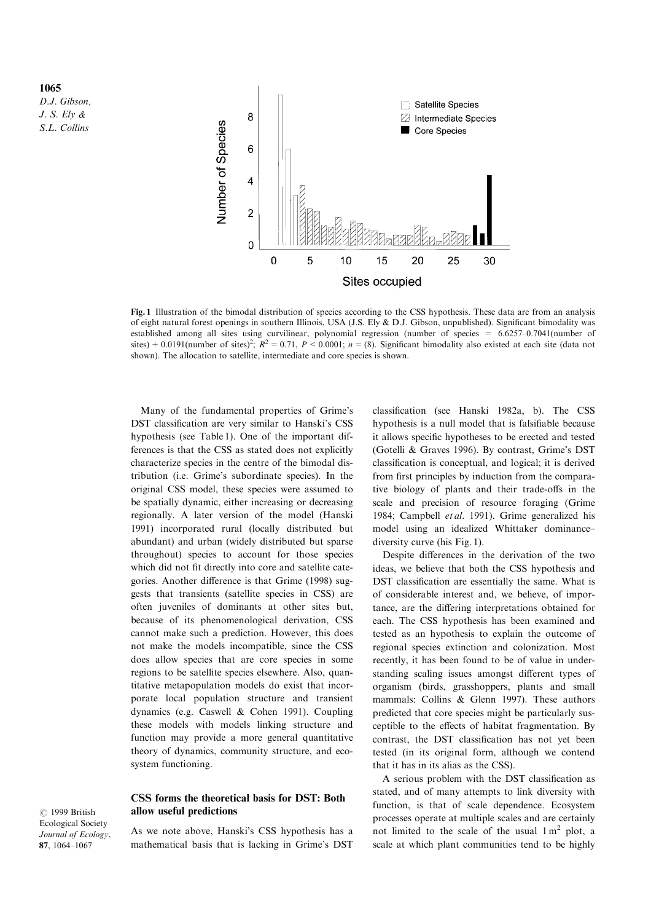1065 D.J. Gibson, J. S. Ely & S.L. Collins



Fig. 1 Illustration of the bimodal distribution of species according to the CSS hypothesis. These data are from an analysis of eight natural forest openings in southern Illinois, USA (J.S. Ely & D.J. Gibson, unpublished). Significant bimodality was established among all sites using curvilinear, polynomial regression (number of species = 6.6257-0.7041(number of sites) + 0.0191(number of sites)<sup>2</sup>;  $R^2 = 0.71$ ,  $P < 0.0001$ ;  $n = (8)$ . Significant bimodality also existed at each site (data not shown). The allocation to satellite, intermediate and core species is shown.

Many of the fundamental properties of Grime's DST classification are very similar to Hanski's CSS hypothesis (see Table 1). One of the important differences is that the CSS as stated does not explicitly characterize species in the centre of the bimodal distribution (i.e. Grime's subordinate species). In the original CSS model, these species were assumed to be spatially dynamic, either increasing or decreasing regionally. A later version of the model (Hanski 1991) incorporated rural (locally distributed but abundant) and urban (widely distributed but sparse throughout) species to account for those species which did not fit directly into core and satellite categories. Another difference is that Grime (1998) suggests that transients (satellite species in CSS) are often juveniles of dominants at other sites but, because of its phenomenological derivation, CSS cannot make such a prediction. However, this does not make the models incompatible, since the CSS does allow species that are core species in some regions to be satellite species elsewhere. Also, quantitative metapopulation models do exist that incorporate local population structure and transient dynamics (e.g. Caswell & Cohen 1991). Coupling these models with models linking structure and function may provide a more general quantitative theory of dynamics, community structure, and ecosystem functioning.

#### CSS forms the theoretical basis for DST: Both allow useful predictions

 $\odot$  1999 British Ecological Society Journal of Ecology, 87, 1064-1067

As we note above, Hanski's CSS hypothesis has a mathematical basis that is lacking in Grime's DST

classification (see Hanski 1982a, b). The CSS hypothesis is a null model that is falsifiable because it allows specific hypotheses to be erected and tested (Gotelli & Graves 1996). By contrast, Grime's DST classification is conceptual, and logical; it is derived from first principles by induction from the comparative biology of plants and their trade-offs in the scale and precision of resource foraging (Grime 1984; Campbell et al. 1991). Grime generalized his model using an idealized Whittaker dominancediversity curve (his Fig. 1).

Despite differences in the derivation of the two ideas, we believe that both the CSS hypothesis and DST classification are essentially the same. What is of considerable interest and, we believe, of importance, are the differing interpretations obtained for each. The CSS hypothesis has been examined and tested as an hypothesis to explain the outcome of regional species extinction and colonization. Most recently, it has been found to be of value in understanding scaling issues amongst different types of organism (birds, grasshoppers, plants and small mammals: Collins & Glenn 1997). These authors predicted that core species might be particularly susceptible to the effects of habitat fragmentation. By contrast, the DST classification has not yet been tested (in its original form, although we contend that it has in its alias as the CSS).

A serious problem with the DST classification as stated, and of many attempts to link diversity with function, is that of scale dependence. Ecosystem processes operate at multiple scales and are certainly not limited to the scale of the usual  $1 \text{ m}^2$  plot, a scale at which plant communities tend to be highly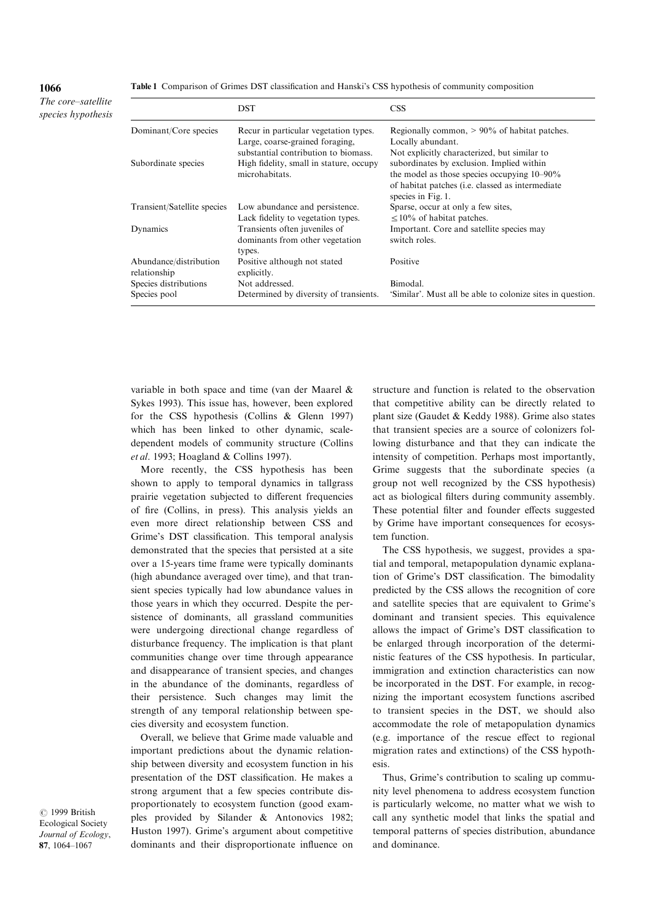1066

The core-satellite species hypothesis

|                                        | <b>DST</b>                                                                                        | <b>CSS</b>                                                                                                                                                                                                            |
|----------------------------------------|---------------------------------------------------------------------------------------------------|-----------------------------------------------------------------------------------------------------------------------------------------------------------------------------------------------------------------------|
| Dominant/Core species                  | Recur in particular vegetation types.<br>Large, coarse-grained foraging,                          | Regionally common, $> 90\%$ of habitat patches.<br>Locally abundant.                                                                                                                                                  |
| Subordinate species                    | substantial contribution to biomass.<br>High fidelity, small in stature, occupy<br>microhabitats. | Not explicitly characterized, but similar to<br>subordinates by exclusion. Implied within<br>the model as those species occupying $10-90\%$<br>of habitat patches (i.e. classed as intermediate<br>species in Fig. 1. |
| Transient/Satellite species            | Low abundance and persistence.<br>Lack fidelity to vegetation types.                              | Sparse, occur at only a few sites,<br>$\leq$ 10% of habitat patches.                                                                                                                                                  |
| Dynamics                               | Transients often juveniles of<br>dominants from other vegetation<br>types.                        | Important. Core and satellite species may<br>switch roles.                                                                                                                                                            |
| Abundance/distribution<br>relationship | Positive although not stated<br>explicitly.                                                       | Positive                                                                                                                                                                                                              |
| Species distributions                  | Not addressed.                                                                                    | Bimodal.                                                                                                                                                                                                              |
| Species pool                           | Determined by diversity of transients.                                                            | 'Similar'. Must all be able to colonize sites in question.                                                                                                                                                            |

variable in both space and time (van der Maarel & Sykes 1993). This issue has, however, been explored for the CSS hypothesis (Collins & Glenn 1997) which has been linked to other dynamic, scaledependent models of community structure (Collins et al. 1993; Hoagland & Collins 1997).

More recently, the CSS hypothesis has been shown to apply to temporal dynamics in tallgrass prairie vegetation subjected to different frequencies of fire (Collins, in press). This analysis yields an even more direct relationship between CSS and Grime's DST classification. This temporal analysis demonstrated that the species that persisted at a site over a 15-years time frame were typically dominants (high abundance averaged over time), and that transient species typically had low abundance values in those years in which they occurred. Despite the persistence of dominants, all grassland communities were undergoing directional change regardless of disturbance frequency. The implication is that plant communities change over time through appearance and disappearance of transient species, and changes in the abundance of the dominants, regardless of their persistence. Such changes may limit the strength of any temporal relationship between species diversity and ecosystem function.

Overall, we believe that Grime made valuable and important predictions about the dynamic relationship between diversity and ecosystem function in his presentation of the DST classification. He makes a strong argument that a few species contribute disproportionately to ecosystem function (good examples provided by Silander & Antonovics 1982; Huston 1997). Grime's argument about competitive dominants and their disproportionate influence on

structure and function is related to the observation that competitive ability can be directly related to plant size (Gaudet & Keddy 1988). Grime also states that transient species are a source of colonizers following disturbance and that they can indicate the intensity of competition. Perhaps most importantly, Grime suggests that the subordinate species (a group not well recognized by the CSS hypothesis) act as biological filters during community assembly. These potential filter and founder effects suggested by Grime have important consequences for ecosystem function.

The CSS hypothesis, we suggest, provides a spatial and temporal, metapopulation dynamic explanation of Grime's DST classification. The bimodality predicted by the CSS allows the recognition of core and satellite species that are equivalent to Grime's dominant and transient species. This equivalence allows the impact of Grime's DST classification to be enlarged through incorporation of the deterministic features of the CSS hypothesis. In particular, immigration and extinction characteristics can now be incorporated in the DST. For example, in recognizing the important ecosystem functions ascribed to transient species in the DST, we should also accommodate the role of metapopulation dynamics  $(e.g.$  importance of the rescue effect to regional migration rates and extinctions) of the CSS hypothesis.

Thus, Grime's contribution to scaling up community level phenomena to address ecosystem function is particularly welcome, no matter what we wish to call any synthetic model that links the spatial and temporal patterns of species distribution, abundance and dominance.

 $\odot$  1999 British Ecological Society Journal of Ecology, 87, 1064-1067